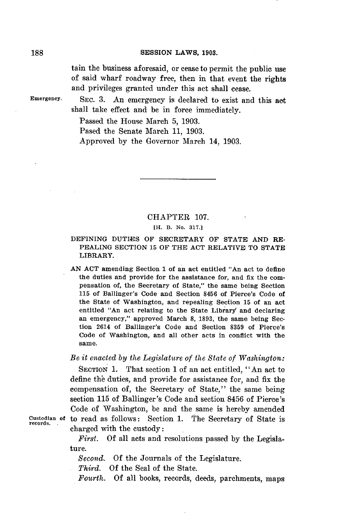#### **SESSION** LAWS, **1903.**

tain the business aforesaid, or cease to permit the public use of said wharf roadway free, then in that event the rights and privileges granted under this act shall cease.

**Emergency.** SEc. **3.** An emergency is declared to exist and this act shall take effect and be in force immediately.

Passed the House March **5, 1903.**

Pased the Senate March **11, 1903.**

Approved **by** the Governor March 14, **1903.**

# CHAPTER **107.**

### **[H. B. No. 317.]**

# DEFINING **DUTIES** OF SECRETARY OF **STATE AND** RE-PEALING SECTION **15** OF THE **ACT** RELATIVE TO **STATE** LIBRARY.

**AN ACT** amending Section **1** of an act entitled "An act to define the duties and provide for the assistance for, and fix the compensation of, the Secretary of State," the same being Section **115** of Ballinger's Code and Section **8456** of Pierce's Code of the State of Washington, and repealing Section **15** of an act entitled "An act relating to the State Library and declaring an emergency," approved March **8, 1893,** the same being Section 2614 of Ballinger's Code and Section **8359** of Pierce's Code of Washington, and all other acts in conflict with the same.

*Be it enacted by the Legislature of the State of Washington:*

SECTION **1.** That section **1** of an act entitled, "An act to define the duties, and provide for assistance for, and fix the compensation of, the Secretary of State," the same being section **115** of Ballinger's Code and section 8456 of Pierce's Code of Washington, be and the same is hereby amended **Custodian** of to read as follows: Section **1.** The Secretary of State is **records.** charged with the custody:

> *First.* **Of** all acts and resolutions passed **by** the Legislature.

*Second.* **Of** the Journals of the Legislature.

*Third.* **Of** the Seal of the State.

*Fourth.* **Of** all books, records, deeds, parchments, maps